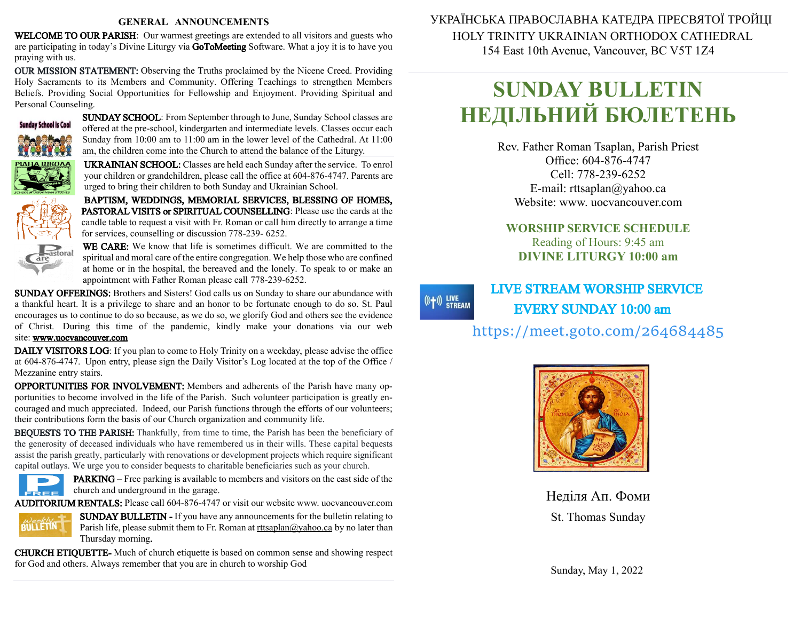#### **GENERAL ANNOUNCEMENTS**

WELCOME TO OUR PARISH: Our warmest greetings are extended to all visitors and guests who are participating in today's Divine Liturgy via GoToMeeting Software. What a joy it is to have you praying with us.

OUR MISSION STATEMENT: Observing the Truths proclaimed by the Nicene Creed. Providing Holy Sacraments to its Members and Community. Offering Teachings to strengthen Members Beliefs. Providing Social Opportunities for Fellowship and Enjoyment. Providing Spiritual and Personal Counseling.



SUNDAY SCHOOL: From September through to June, Sunday School classes are offered at the pre-school, kindergarten and intermediate levels. Classes occur each Sunday from 10:00 am to 11:00 am in the lower level of the Cathedral. At 11:00 am, the children come into the Church to attend the balance of the Liturgy.

UKRAINIAN SCHOOL: Classes are held each Sunday after the service. To enrol your children or grandchildren, please call the office at 604-876-4747. Parents are urged to bring their children to both Sunday and Ukrainian School.

BAPTISM, WEDDINGS, MEMORIAL SERVICES, BLESSING OF HOMES, PASTORAL VISITS or SPIRITUAL COUNSELLING: Please use the cards at the candle table to request a visit with Fr. Roman or call him directly to arrange a time for services, counselling or discussion 778-239- 6252.



WE CARE: We know that life is sometimes difficult. We are committed to the spiritual and moral care of the entire congregation. We help those who are confined at home or in the hospital, the bereaved and the lonely. To speak to or make an appointment with Father Roman please call 778-239-6252.

SUNDAY OFFERINGS: Brothers and Sisters! God calls us on Sunday to share our abundance with a thankful heart. It is a privilege to share and an honor to be fortunate enough to do so. St. Paul encourages us to continue to do sobecause, as we do so, we glorify God and others see the evidence of Christ. During this time of the pandemic, kindly make your donations via our web site: [www.uocvancouver.com](http://www.uocvancouver.com/) 

DAILY VISITORS LOG: If you plan to come to Holy Trinity on a weekday, please advise the office at 604-876-4747. Upon entry, please sign the Daily Visitor's Log located at the top of the Office / Mezzanine entry stairs.

OPPORTUNITIES FOR INVOLVEMENT: Members and adherents of the Parish have many opportunities to become involved in the life of the Parish. Such volunteer participation is greatly encouraged and much appreciated. Indeed, our Parish functions through the efforts of our volunteers; their contributions form the basis of our Church organization and community life.

BEQUESTS TO THE PARISH: Thankfully, from time to time, the Parish has been the beneficiary of the generosity of deceased individuals who have remembered us in their wills. These capital bequests assist the parish greatly, particularly with renovations or development projects which require significant capital outlays. We urge you to consider bequests to charitable beneficiaries such as your church.



PARKING –Free parking is available to members and visitors on the east side of the  $c =$  church and underground in the garage.

AUDITORIUM RENTALS: Please call 604-876-4747 or visit our website www. uocvancouver.com



SUNDAY BULLETIN - If you have any announcements for the bulletin relating to Parish life, please submit them to Fr. Roman at  $rtt \frac{\partial y}{\partial x}$  and  $\frac{\partial y}{\partial y}$  and later than Thursday morning.

CHURCH ETIQUETTE- Much of church etiquette is based on common sense and showing respect for God and others. Always remember that you are in church to worship God

 УКРАЇНСЬКА ПРАВОСЛАВНА КАТЕДРА ПРЕСВЯТОЇ ТРОЙЦІ HOLY TRINITY UKRAINIAN ORTHODOX CATHEDRAL 154 East 10th Avenue, Vancouver, BC V5T 1Z4

# **SUNDAY BULLETIN НЕДІЛЬНИЙ БЮЛЕТЕНЬ**

Rev. Father Roman Tsaplan, Parish Priest Office: 604-876-4747 Cell: 778-239-6252 E-mail: rttsaplan@yahoo.ca Website: www. uocvancouver.com

## **WORSHIP SERVICE SCHEDULE** Reading of Hours: 9:45 am **DIVINE LITURGY 10:00 am**

 $((+))$  LIVE<br>STREAM

 LIVE STREAM WORSHIP SERVICE EVERY SUNDAY 10:00 am

<https://meet.goto.com/264684485>



Неділя Ап. Фоми St. Thomas Sunday

Sunday, May 1, 2022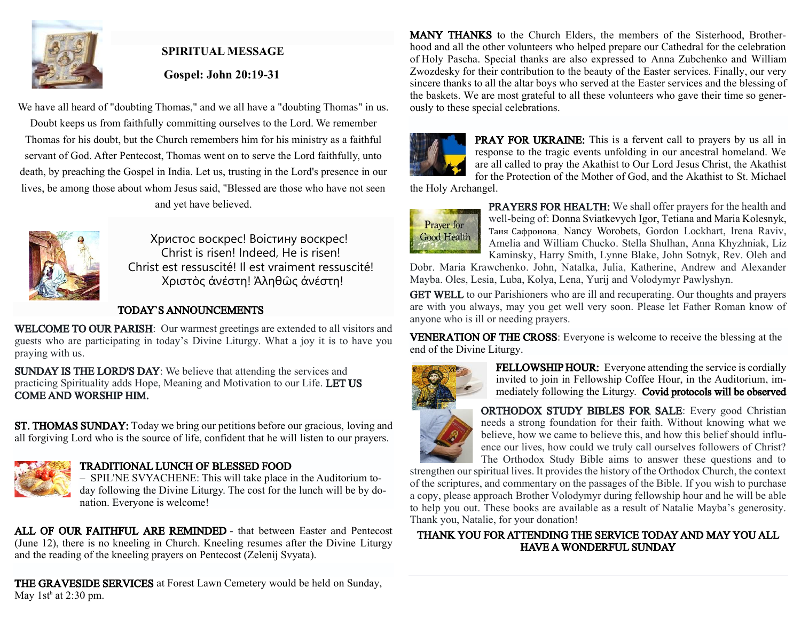

# **SPIRITUAL MESSAGE Gospel: John 20:19-31**

We have all heard of "doubting Thomas," and we all have a "doubting Thomas" in us. Doubt keeps us from faithfully committing ourselves to the Lord. We remember Thomas for his doubt, but the Church remembers him for his ministry as a faithful servant of God. After Pentecost, Thomas went on to serve the Lord faithfully, unto death, by preaching the Gospel in India. Let us, trusting in the Lord's presence in our lives, be among those about whom Jesus said, "Blessed are those who have not seen and yet have believed.



Христос воскрес! Воістину воскрес! Christ is risen! Indeed, He is risen! Christ est ressuscité! Il est vraiment ressuscité! Χριστὸς ἀνέστη! Ἀληθῶς ἀνέστη!

#### TODAY`S ANNOUNCEMENTS

WELCOME TO OUR PARISH: Our warmest greetings are extended to all visitors and guests who are participating in today's Divine Liturgy. What a joy it is to have you praying with us.

SUNDAY IS THE LORD'S DAY: We believe that attending the services and practicing Spirituality adds Hope, Meaning and Motivation to our Life. LET US COME AND WORSHIP HIM.

ST. THOMAS SUNDAY: Today we bring our petitions before our gracious, loving and all forgiving Lord who is the source of life, confident that he will listen to our prayers.



### TRADITIONAL LUNCH OF BLESSED FOOD

– SPIL'NE SVYACHENE: This will take place in the Auditorium today following the Divine Liturgy. The cost for the lunch will be by donation. Everyone is welcome!

ALL OF OUR FAITHFUL ARE REMINDED - that between Easter and Pentecost (June 12), there is no kneeling in Church. Kneeling resumes after the Divine Liturgy and the reading of the kneeling prayers on Pentecost (Zelenij Svyata).

THE GRAVESIDE SERVICES at Forest Lawn Cemetery would be held on Sunday, May  $1st^h$  at 2:30 pm.

MANY THANKS to the Church Elders, the members of the Sisterhood, Brotherhood and all the other volunteers who helped prepare our Cathedral for the celebration of Holy Pascha. Special thanks are also expressed to Anna Zubchenko and William Zwozdesky for their contribution to the beauty of the Easter services. Finally, our very sincere thanks to all the altar boys who served at the Easter services and the blessing of the baskets. We are most grateful to all these volunteers who gave their time so generously to these special celebrations.



PRAY FOR UKRAINE: This is a fervent call to prayers by us all in response to the tragic events unfolding in our ancestral homeland. We are all called to pray the Akathist to Our Lord Jesus Christ, the Akathist for the Protection of the Mother of God, and the Akathist to St. Michael

the Holy Archangel.



PRAYERS FOR HEALTH: We shall offer prayers for the health and well-being of: Donna Sviatkevych Igor, Tetiana and Maria Kolesnyk, Таня Сафронова, Nancy Worobets, Gordon Lockhart, Irena Raviv, Amelia and William Chucko. Stella Shulhan, Anna Khyzhniak, Liz Kaminsky, Harry Smith, Lynne Blake, John Sotnyk, Rev. Oleh and

Dobr. Maria Krawchenko. John, Natalka, Julia, Katherine, Andrew and Alexander Mayba. Oles, Lesia, Luba, Kolya, Lena, Yurij and Volodymyr Pawlyshyn.

GET WELL to our Parishioners who are ill and recuperating. Our thoughts and prayers are with you always, may you get well very soon. Please let Father Roman know of anyone who is ill or needing prayers.

VENERATION OF THE CROSS: Everyone is welcome to receive the blessing at the end of the Divine Liturgy.



FELLOWSHIP HOUR: Everyone attending the service is cordially invited to join in Fellowship Coffee Hour, in the Auditorium, immediately following the Liturgy. Covid protocols will be observed

#### ORTHODOX STUDY BIBLES FOR SALE: Every good Christian needs a strong foundation for their faith. Without knowing what we believe, how we came to believe this, and how this belief should influence our lives, how could we truly call ourselves followers of Christ? The Orthodox Study Bible aims to answer these questions and to

strengthen our spiritual lives. It provides the history of the Orthodox Church, the context of the scriptures, and commentary on the passages of the Bible. If you wish to purchase a copy, please approach Brother Volodymyr during fellowship hour and he will be able to help you out. These books are available as a result of Natalie Mayba's generosity. Thank you, Natalie, for your donation!

#### THANK YOU FOR ATTENDING THE SERVICE TODAY AND MAY YOU ALL HAVE A WONDERFUL SUNDAY